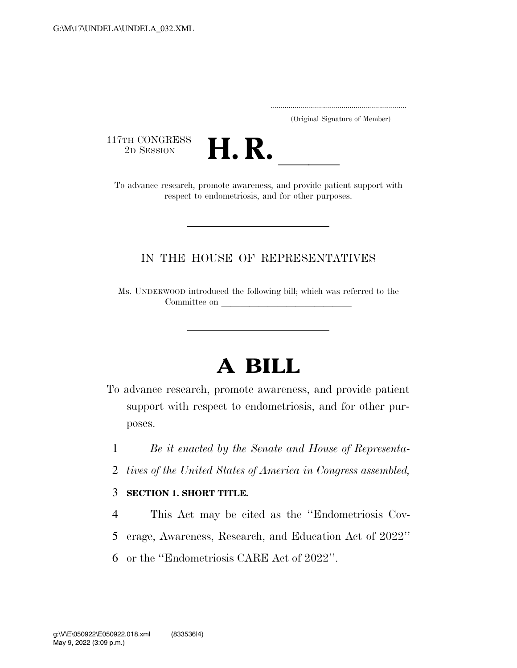..................................................................... (Original Signature of Member)

117TH CONGRESS<br>2D SESSION



17TH CONGRESS<br>
2D SESSION **H. R.** <u>Independence research, promote awareness</u>, and provide patient support with respect to endometriosis, and for other purposes.

### IN THE HOUSE OF REPRESENTATIVES

Ms. UNDERWOOD introduced the following bill; which was referred to the Committee on

# **A BILL**

- To advance research, promote awareness, and provide patient support with respect to endometriosis, and for other purposes.
	- 1 *Be it enacted by the Senate and House of Representa-*
	- 2 *tives of the United States of America in Congress assembled,*

#### 3 **SECTION 1. SHORT TITLE.**

- 4 This Act may be cited as the ''Endometriosis Cov-
- 5 erage, Awareness, Research, and Education Act of 2022''
- 6 or the ''Endometriosis CARE Act of 2022''.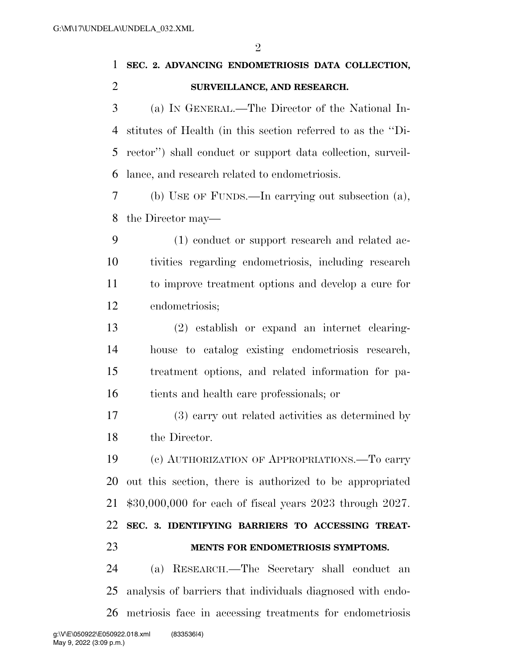$\mathfrak{D}$ 

# **SEC. 2. ADVANCING ENDOMETRIOSIS DATA COLLECTION, SURVEILLANCE, AND RESEARCH.**

 (a) IN GENERAL.—The Director of the National In- stitutes of Health (in this section referred to as the ''Di- rector'') shall conduct or support data collection, surveil-lance, and research related to endometriosis.

 (b) USE OF FUNDS.—In carrying out subsection (a), the Director may—

 (1) conduct or support research and related ac- tivities regarding endometriosis, including research to improve treatment options and develop a cure for endometriosis;

 (2) establish or expand an internet clearing- house to catalog existing endometriosis research, treatment options, and related information for pa-tients and health care professionals; or

 (3) carry out related activities as determined by the Director.

 (c) AUTHORIZATION OF APPROPRIATIONS.—To carry out this section, there is authorized to be appropriated \$30,000,000 for each of fiscal years 2023 through 2027. **SEC. 3. IDENTIFYING BARRIERS TO ACCESSING TREAT-MENTS FOR ENDOMETRIOSIS SYMPTOMS.** 

 (a) RESEARCH.—The Secretary shall conduct an analysis of barriers that individuals diagnosed with endo-metriosis face in accessing treatments for endometriosis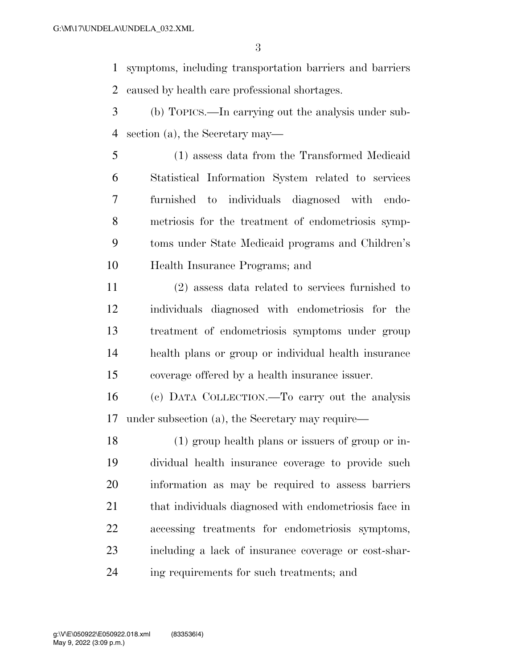symptoms, including transportation barriers and barriers caused by health care professional shortages.

- (b) TOPICS.—In carrying out the analysis under sub-section (a), the Secretary may—
- (1) assess data from the Transformed Medicaid Statistical Information System related to services furnished to individuals diagnosed with endo- metriosis for the treatment of endometriosis symp- toms under State Medicaid programs and Children's Health Insurance Programs; and
- (2) assess data related to services furnished to individuals diagnosed with endometriosis for the treatment of endometriosis symptoms under group health plans or group or individual health insurance coverage offered by a health insurance issuer.
- (c) DATA COLLECTION.—To carry out the analysis under subsection (a), the Secretary may require—
- (1) group health plans or issuers of group or in- dividual health insurance coverage to provide such information as may be required to assess barriers 21 that individuals diagnosed with endometriosis face in accessing treatments for endometriosis symptoms, including a lack of insurance coverage or cost-shar-ing requirements for such treatments; and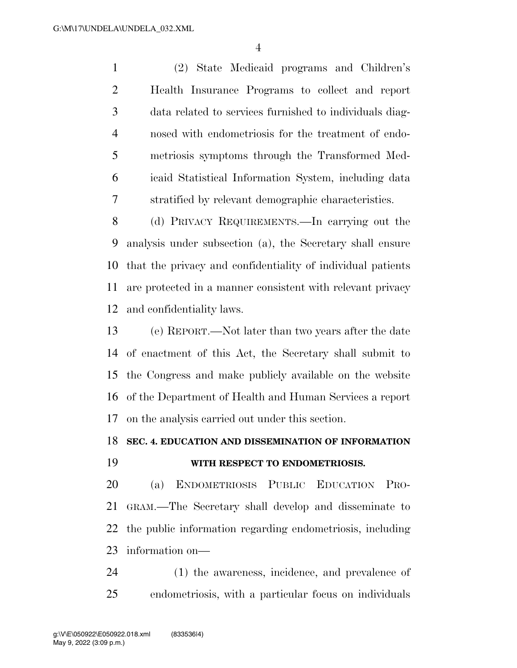(2) State Medicaid programs and Children's Health Insurance Programs to collect and report data related to services furnished to individuals diag- nosed with endometriosis for the treatment of endo- metriosis symptoms through the Transformed Med- icaid Statistical Information System, including data stratified by relevant demographic characteristics.

 (d) PRIVACY REQUIREMENTS.—In carrying out the analysis under subsection (a), the Secretary shall ensure that the privacy and confidentiality of individual patients are protected in a manner consistent with relevant privacy and confidentiality laws.

 (e) REPORT.—Not later than two years after the date of enactment of this Act, the Secretary shall submit to the Congress and make publicly available on the website of the Department of Health and Human Services a report on the analysis carried out under this section.

#### **SEC. 4. EDUCATION AND DISSEMINATION OF INFORMATION**

## **WITH RESPECT TO ENDOMETRIOSIS.**

 (a) ENDOMETRIOSIS PUBLIC EDUCATION PRO- GRAM.—The Secretary shall develop and disseminate to the public information regarding endometriosis, including information on—

 (1) the awareness, incidence, and prevalence of endometriosis, with a particular focus on individuals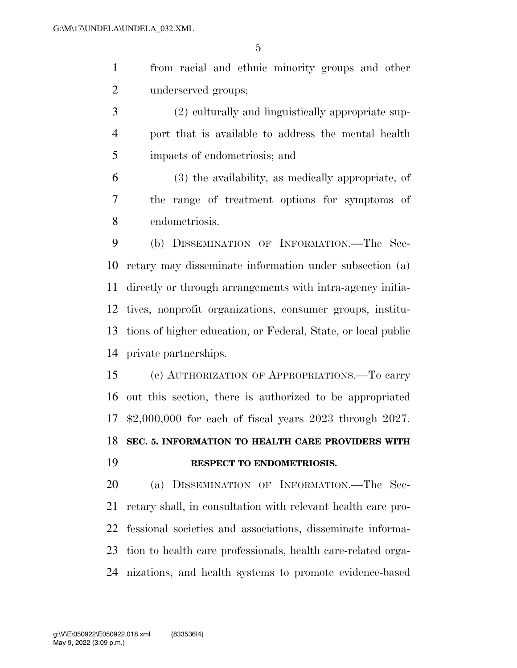from racial and ethnic minority groups and other underserved groups;

 (2) culturally and linguistically appropriate sup- port that is available to address the mental health impacts of endometriosis; and

 (3) the availability, as medically appropriate, of the range of treatment options for symptoms of endometriosis.

 (b) DISSEMINATION OF INFORMATION.—The Sec- retary may disseminate information under subsection (a) directly or through arrangements with intra-agency initia- tives, nonprofit organizations, consumer groups, institu- tions of higher education, or Federal, State, or local public private partnerships.

 (c) AUTHORIZATION OF APPROPRIATIONS.—To carry out this section, there is authorized to be appropriated \$2,000,000 for each of fiscal years 2023 through 2027. **SEC. 5. INFORMATION TO HEALTH CARE PROVIDERS WITH RESPECT TO ENDOMETRIOSIS.** 

 (a) DISSEMINATION OF INFORMATION.—The Sec- retary shall, in consultation with relevant health care pro- fessional societies and associations, disseminate informa- tion to health care professionals, health care-related orga-nizations, and health systems to promote evidence-based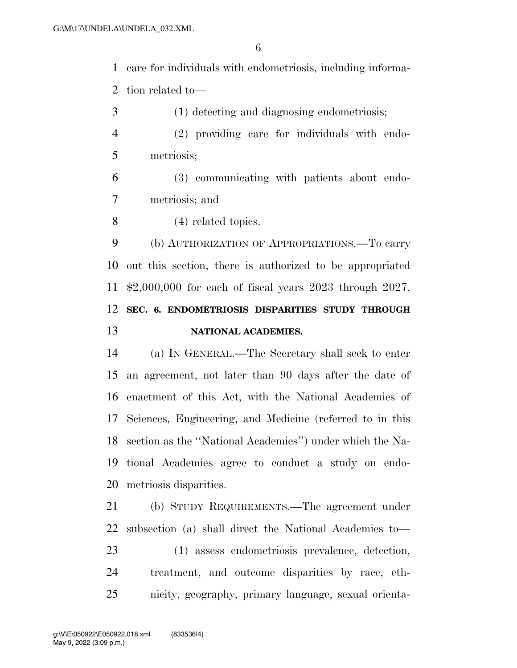care for individuals with endometriosis, including informa-tion related to—

 (2) providing care for individuals with endo-metriosis;

(1) detecting and diagnosing endometriosis;

- (3) communicating with patients about endo-metriosis; and
- (4) related topics.

 (b) AUTHORIZATION OF APPROPRIATIONS.—To carry out this section, there is authorized to be appropriated \$2,000,000 for each of fiscal years 2023 through 2027. **SEC. 6. ENDOMETRIOSIS DISPARITIES STUDY THROUGH NATIONAL ACADEMIES.** 

 (a) IN GENERAL.—The Secretary shall seek to enter an agreement, not later than 90 days after the date of enactment of this Act, with the National Academies of Sciences, Engineering, and Medicine (referred to in this section as the ''National Academies'') under which the Na- tional Academies agree to conduct a study on endo-metriosis disparities.

 (b) STUDY REQUIREMENTS.—The agreement under subsection (a) shall direct the National Academies to— (1) assess endometriosis prevalence, detection, treatment, and outcome disparities by race, eth-nicity, geography, primary language, sexual orienta-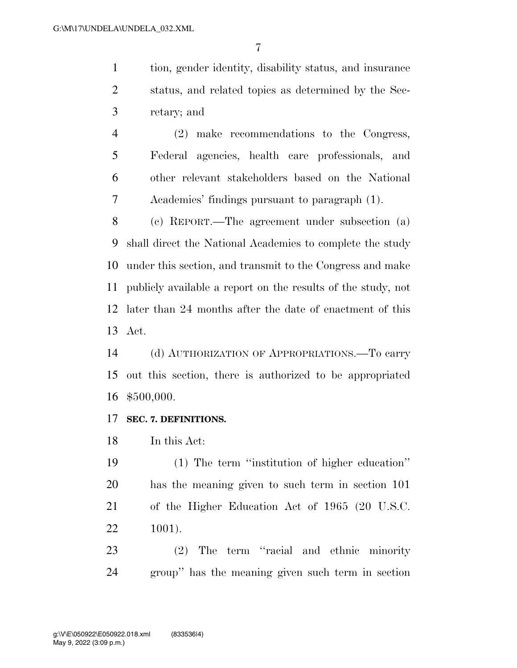tion, gender identity, disability status, and insurance status, and related topics as determined by the Sec-retary; and

 (2) make recommendations to the Congress, Federal agencies, health care professionals, and other relevant stakeholders based on the National Academies' findings pursuant to paragraph (1).

 (c) REPORT.—The agreement under subsection (a) shall direct the National Academies to complete the study under this section, and transmit to the Congress and make publicly available a report on the results of the study, not later than 24 months after the date of enactment of this Act.

 (d) AUTHORIZATION OF APPROPRIATIONS.—To carry out this section, there is authorized to be appropriated \$500,000.

#### **SEC. 7. DEFINITIONS.**

In this Act:

 (1) The term ''institution of higher education'' has the meaning given to such term in section 101 of the Higher Education Act of 1965 (20 U.S.C. 1001).

 (2) The term ''racial and ethnic minority group'' has the meaning given such term in section